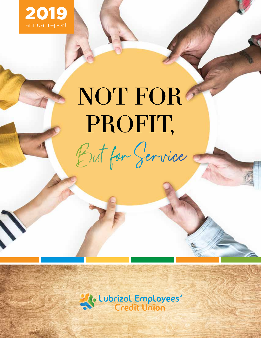

# NOT FOR PROFIT, But for Service

21. Lubrizol Employees'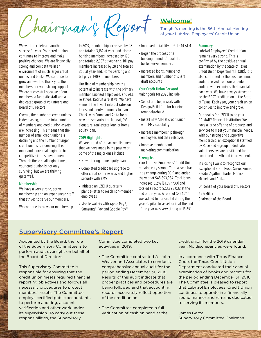Chairman's Report

We want to celebrate another successful year! Your credit union continues to improve and make positive changes. We are financially strong and competitive in an environment of much larger credit unions and banks. We continue to grow and want to thank you, the members, for your strong support. We are successful because of our members, a fantastic staff and a dedicated group of volunteers and Board of Directors.

Overall, the number of credit unions is decreasing, but the total number of members and credit union assets are increasing. This means that the number of small credit unions is declining and the number of larger credit unions is increasing. It is more and more challenging to be competitive in this environment. Through these challenging times, your credit union is not only surviving, but we are thriving quite well.

### Membership

We have a very strong, active membership and an experienced staff that strives to serve our members.

We continue to grow our membership.

In 2019, membership increased by 98 and totaled 3,182 at year-end. Home banking members increased by 196 and totaled 2,357 at year-end. Bill pay members increased by 28 and totaled 260 at year-end. Home banking and bill pay is FREE to members.

Our field of membership has the potential to increase with the primary member, Lubrizol employees, and ALL relatives. Recruit a relative! We have some of the lowest interest rates on loans and plenty of money to loan. Check with Emma and Anita for a new or used auto, truck, boat, RV, signature, real estate loan or home equity loan.

### 2019 Highlights

We are proud of the accomplishments that we have made in the past year. Some of the major ones include:

- Now offering home equity loans
- Completed credit card upgrade to offer credit card rewards and higher security with EMV
- Initiated an LZECU quarterly plant e-letter to reach non-member employees
- Mobile wallets with Apple Pay®, Samsung® Pay and Google Pay™

### Welcome!

Tonight's meeting is the 66th Annual Meeting of *your* Lubrizol Employees' Credit Union.

- Improved reliability at Gate 14 ATM
- Began the process of a building remodel/rebuild to better serve members
- Increased loans, number of members and number of share draft accounts

### Your Credit Union Forward

Major goals for 2020 include:

- Select and begin work with Design/Build firm for building remodel/rebuild
- Install new ATM at credit union with EMV capability
- Increase membership through employees and their relatives
- Improve member and marketing communication

### **Strengths**

Your Lubrizol Employees' Credit Union remains very strong. Total assets had little change during 2019 and ended the year at \$45,893,954. Total loans increased 6.2% (\$1,397,730) and totaled a record \$23,828,032 at the end of the year. A total of \$424,766 was added to our capital during the year. Capital-to-asset ratio at the end of the year was very strong at 13.8%.

### **Summary**

Lubrizol Employees' Credit Union remains very strong. This is confirmed by the positive annual examination by the State of Texas Credit Union Department (TCUD). It is also confirmed by the positive annual audit received from our outside auditor, who examines the financials each year. We have always strived to be the BEST credit union in the State of Texas. Each year, your credit union continues to improve and grow.

Our goal is for LZECU to be your PRIMARY financial institution. We have a large offering of products and services to meet your financial needs. With our strong and supportive membership, an exceptional staff led by Rose and a group of dedicated volunteers, we are positioned for continued growth and improvement.

In closing I want to recognize our exceptional staff: Rose, Susie, Emma, Hedda, Agatha, Charlie, Monica, Michele and Anita.

On behalf of your Board of Directors.

Rich Miller Chairman of the Board

### Supervisory Committee's Report

Appointed by the Board, the role of the Supervisory Committee is to perform audit oversight on behalf of the Board of Directors.

This Supervisory Committee is responsible for ensuring that the credit union meets required financial reporting objectives and follows all necessary procedures to protect members' assets. The Committee employs certified public accountants to perform auditing, account verification and other work under its supervision. To carry out these responsibilities, the Supervisory

Committee completed two key activities in 2019:

- The Committee contracted A. John Weaver and Associates to conduct a comprehensive annual audit for the period ending December 31, 2018. Results of this audit indicate that proper practices and procedures are being followed and that accounting records accurately reflect operation of the credit union.
- The Committee completed a full verification of cash on hand at the

credit union for the 2019 calendar year. No discrepancies were found.

In accordance with Texas Finance Code, the Texas Credit Union Department conducted their annual examination of books and records for the period ending December 31, 2018. The Committee is pleased to report that Lubrizol Employees' Credit Union continues to operate in a financially sound manner and remains dedicated to serving its members.

James Garza Supervisory Committee Chairman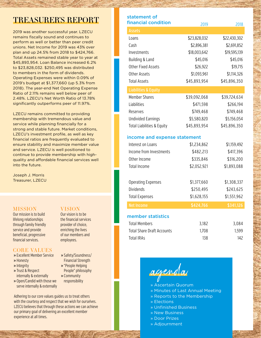## TREASURER'S REPORT

2019 was another successful year. LZECU remains fiscally sound and continues to perform as well or better than peer credit unions. Net Income for 2019 was 43% over plan and up 24.5% from 2018 to \$424,766. Total Assets remained stable year to year at \$45,893,954. Loan Balance increased 6.2% to \$23,828,032. \$250,495 was distributed to members in the form of dividends. Operating Expenses were within 0.09% of 2019's budget at \$1,377,660 (up 5.3% from 2018). The year-end Net Operating Expense Ratio of 2.11% remains well below peer of 2.48%. LZECU's Net Worth Ratio of 13.78% significantly outperforms peer of 11.97%.

LZECU remains committed to providing membership with tremendous value and service while planning financially for a strong and stable future. Market conditions, LZECU's investment profile, as well as key financial ratios are frequently evaluated to ensure stability and maximize member value and service. LZECU is well positioned to continue to provide membership with highquality and affordable financial services well into the future.

Joseph J. Morris Treasurer, LZECU

### **MISSION**

Our mission is to build lifelong relationships through family friendly service and provide beneficial, progressive financial services.

### CORE VALUES

- » Excellent Member Service
- » Honesty
- » Integrity
- » Trust & Respect internally & externally
- » Open/Candid with those we serve internally & externally

### VISION

Our vision is to be the financial services provider of choice, enriching the lives of our members and employees.

- » Safety/Soundness/ Financial Strength
- » "People Helping People" philosophy
- » Community
- responsibility

Adhering to our core values guides us to treat others with the courtesy and respect that we wish for ourselves. LZECU believes that through these actions we can achieve our primary goal of delivering an excellent member experience at all times.

| statement of<br>financial condition | 2019         | 2018         |
|-------------------------------------|--------------|--------------|
| <b>Assets</b>                       |              |              |
| Loans                               | \$23,828,032 | \$22,430,302 |
| Cash                                | \$2,896,381  | \$2,691,852  |
| Investments                         | \$18,003,642 | \$19,595,139 |
| Building & Land                     | \$45,016     | \$45,016     |
| <b>Other Fixed Assets</b>           | \$26,922     | \$19,715     |
| <b>Other Assets</b>                 | \$1,093,961  | \$1,114,326  |
| <b>Total Assets</b>                 | \$45,893,954 | \$45,896,350 |
| <b>Liabilities &amp; Equity</b>     |              |              |
| <b>Member Shares</b>                | \$39,092,068 | \$39,724,634 |
| Liabilities                         | \$471,598    | \$266,194    |
| Reserves                            | \$749,468    | \$749,468    |
| <b>Undivided Earnings</b>           | \$5,580,820  | \$5,156,054  |
| Total Liabilities & Equity          | \$45,893,954 | \$45,896,350 |
| income and expense statement        |              |              |
| Interest on Loans                   | \$1,234,862  | \$1,159,492  |
| Income from Investments             | \$482,213    | \$417,396    |
| Other Income                        | \$335,846    | \$316,200    |
| <b>Total Income</b>                 | \$2,052,921  | \$1,893,088  |
|                                     |              |              |
| <b>Operating Expenses</b>           | \$1,377,660  | \$1,308,337  |
| <b>Dividends</b>                    | \$250,495    | \$243,625    |
| <b>Total Expenses</b>               | \$1,628,155  | \$1,551,962  |
| <b>Net Income</b>                   | \$424,766    | \$341,126    |
| member statistics                   |              |              |
| <b>Total Members</b>                | 3,182        | 3,084        |
| <b>Total Share Draft Accounts</b>   | 1,708        | 1,599        |
| <b>Total IRAs</b>                   | 138          | 142          |
|                                     |              |              |
|                                     |              |              |

agenda

- » Ascertain Quorum
- » Minutes of Last Annual Meeting
- » Reports to the Membership
- » Elections
- » Unfinished Business
- » New Business
- » Door Prizes
- » Adjournment